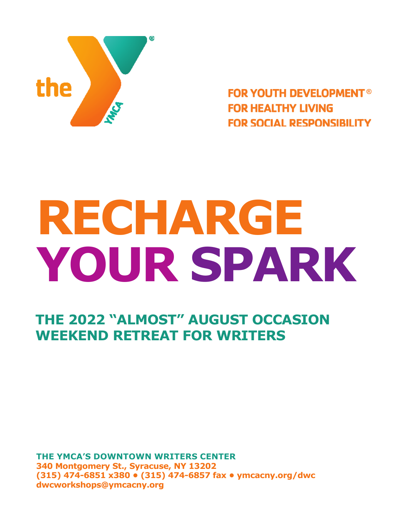

**FOR YOUTH DEVELOPMENT® FOR HEALTHY LIVING FOR SOCIAL RESPONSIBILITY** 

# **RECHARGE YOUR SPARK**

**THE 2022 "ALMOST" AUGUST OCCASION WEEKEND RETREAT FOR WRITERS**

**THE YMCA'S DOWNTOWN WRITERS CENTER 340 Montgomery St., Syracuse, NY 13202 (315) 474-6851 x380 • (315) 474-6857 fax • ymcacny.org/dwc dwcworkshops@ymcacny.org**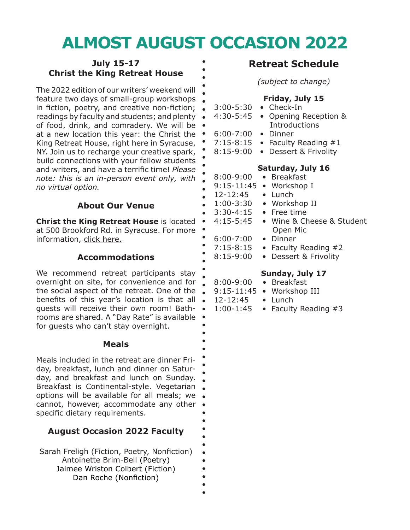# **ALMOST AUGUST OCCASION 2022**

#### **July 15-17 Christ the King Retreat House**

The 2022 edition of our writers' weekend will feature two days of small-group workshops in fiction, poetry, and creative non-fiction; . readings by faculty and students; and plenty  $\bullet$ of food, drink, and comradery. We will be at a new location this year: the Christ the . King Retreat House, right here in Syracuse, NY. Join us to recharge your creative spark, build connections with your fellow students and writers, and have a terrific time! *Please note: this is an in-person event only, with no virtual option.*

#### **About Our Venue**

**Christ the King Retreat House is located •** at 500 Brookford Rd. in Syracuse. For more . information, [click here.](https://www.syracusediocese.org/offices/christ-the-king-retreat-house)

#### **Accommodations**

We recommend retreat participants stay overnight on site, for convenience and for the social aspect of the retreat. One of the benefits of this year's location is that all guests will receive their own room! Bathrooms are shared. A "Day Rate" is available for guests who can't stay overnight.

#### **Meals**

Meals included in the retreat are dinner Friday, breakfast, lunch and dinner on Saturday, and breakfast and lunch on Sunday. Breakfast is Continental-style. Vegetarian options will be available for all meals; we cannot, however, accommodate any other specific dietary requirements.

#### **August Occasion 2022 Faculty**

| Sarah Freligh (Fiction, Poetry, Nonfiction) |  |  |  |
|---------------------------------------------|--|--|--|
| Antoinette Brim-Bell (Poetry)               |  |  |  |
| Jaimee Wriston Colbert (Fiction)            |  |  |  |
| Dan Roche (Nonfiction)                      |  |  |  |

#### **Retreat Schedule**

*(subject to change)*

#### **Friday, July 15**

- 3:00-5:30 Check-In
- 4:30-5:45 Opening Reception & **Introductions**
- 6:00-7:00 Dinner
- 7:15-8:15 Faculty Reading  $#1$
- 8:15-9:00 Dessert & Frivolity

#### **Saturday, July 16**

- 8:00-9:00 Breakfast 9:15-11:45 • Workshop I 12-12:45 • Lunch 1:00-3:30 • Workshop II 3:30-4:15 • Free time 4:15-5:45 • Wine & Cheese & Student Open Mic 6:00-7:00 • Dinner
	- 7:15-8:15 Faculty Reading  $#2$

 $\ddot{\bullet}$ 

8:15-9:00 • Dessert & Frivolity

#### **Sunday, July 17**

- 8:00-9:00 Breakfast
- 9:15-11:45 Workshop III
- 12-12:45 Lunch
- 1:00-1:45 Faculty Reading #3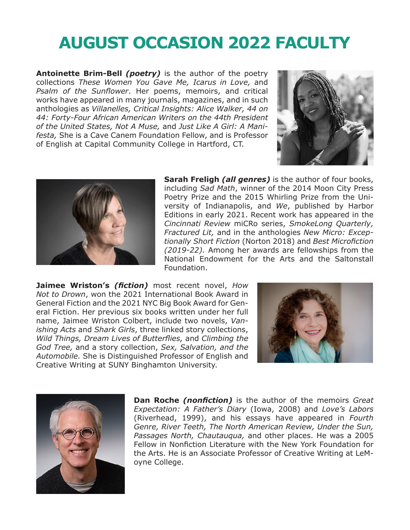## **AUGUST OCCASION 2022 FACULTY**

**Antoinette Brim-Bell** *(poetry)* is the author of the poetry collections *These Women You Gave Me, Icarus in Love,* and *Psalm of the Sunflower*. Her poems, memoirs, and critical works have appeared in many journals, magazines, and in such anthologies as *Villanelles, Critical Insights: Alice Walker, 44 on 44: Forty-Four African American Writers on the 44th President of the United States, Not A Muse,* and *Just Like A Girl: A Manifesta,* She is a Cave Canem Foundation Fellow, and is Professor of English at Capital Community College in Hartford, CT.





**Sarah Freligh** *(all genres)* is the author of four books, including *Sad Math*, winner of the 2014 Moon City Press Poetry Prize and the 2015 Whirling Prize from the University of Indianapolis, and *We*, published by Harbor Editions in early 2021. Recent work has appeared in the *Cincinnati Review* miCRo series, *SmokeLong Quarterly, Fractured Lit,* and in the anthologies *New Micro: Exceptionally Short Fiction* (Norton 2018) and *Best Microfiction (2019-22).* Among her awards are fellowships from the National Endowment for the Arts and the Saltonstall Foundation.

**Jaimee Wriston's** *(fiction)* most recent novel, *How Not to Drown*, won the 2021 International Book Award in General Fiction and the 2021 NYC Big Book Award for General Fiction. Her previous six books written under her full name, Jaimee Wriston Colbert, include two novels, *Vanishing Acts* and *Shark Girls*, three linked story collections, *Wild Things, Dream Lives of Butterflies,* and *Climbing the God Tree,* and a story collection, *Sex, Salvation, and the Automobile.* She is Distinguished Professor of English and Creative Writing at SUNY Binghamton University.





**Dan Roche** *(nonfiction)* is the author of the memoirs *Great Expectation: A Father's Diary* (Iowa, 2008) and *Love's Labors* (Riverhead, 1999), and his essays have appeared in *Fourth Genre, River Teeth, The North American Review, Under the Sun, Passages North, Chautauqua,* and other places. He was a 2005 Fellow in Nonfiction Literature with the New York Foundation for the Arts. He is an Associate Professor of Creative Writing at LeMoyne College.